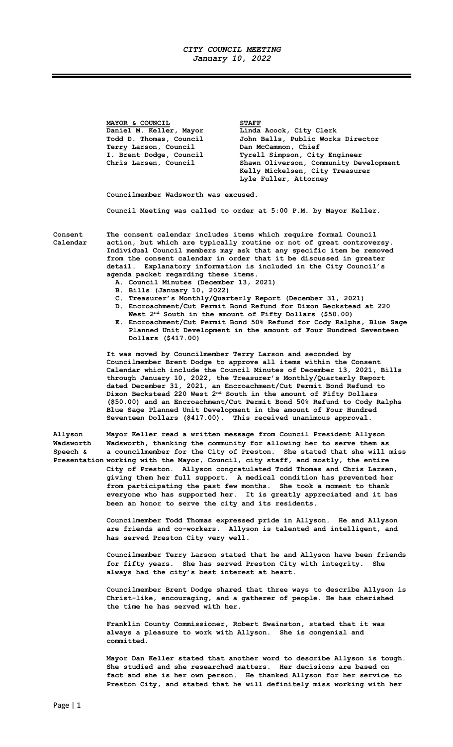## CITY COUNCIL MEETING January 10, 2022

MAYOR & COUNCIL STAFF Daniel M. Keller, Mayor Linda Acock, City Clerk Todd D. Thomas, Council John Balls, Public Works Director Terry Larson, Council and McCammon, Chief<br>
I. Brent Dodge, Council and Tyrell Simpson, City Tyrell Simpson, City Engineer Chris Larsen, Council Shawn Oliverson, Community Development Kelly Mickelsen, City Treasurer Lyle Fuller, Attorney

Councilmember Wadsworth was excused.

Council Meeting was called to order at 5:00 P.M. by Mayor Keller.

Consent The consent calendar includes items which require formal Council Calendar action, but which are typically routine or not of great controversy. Individual Council members may ask that any specific item be removed from the consent calendar in order that it be discussed in greater detail. Explanatory information is included in the City Council's agenda packet regarding these items.

- A. Council Minutes (December 13, 2021)
- B. Bills (January 10, 2022)
- C. Treasurer's Monthly/Quarterly Report (December 31, 2021) D. Encroachment/Cut Permit Bond Refund for Dixon Beckstead at 220 West  $2<sup>nd</sup>$  South in the amount of Fifty Dollars (\$50.00)
- E. Encroachment/Cut Permit Bond 50% Refund for Cody Ralphs, Blue Sage Planned Unit Development in the amount of Four Hundred Seventeen Dollars (\$417.00)

It was moved by Councilmember Terry Larson and seconded by Councilmember Brent Dodge to approve all items within the Consent Calendar which include the Council Minutes of December 13, 2021, Bills through January 10, 2022, the Treasurer's Monthly/Quarterly Report dated December 31, 2021, an Encroachment/Cut Permit Bond Refund to Dixon Beckstead 220 West 2<sup>nd</sup> South in the amount of Fifty Dollars (\$50.00) and an Encroachment/Cut Permit Bond 50% Refund to Cody Ralphs Blue Sage Planned Unit Development in the amount of Four Hundred Seventeen Dollars (\$417.00). This received unanimous approval.

Allyson Mayor Keller read a written message from Council President Allyson Wadsworth Wadsworth, thanking the community for allowing her to serve them as Speech & a councilmember for the City of Preston. She stated that she will miss Presentation working with the Mayor, Council, city staff, and mostly, the entire City of Preston. Allyson congratulated Todd Thomas and Chris Larsen, giving them her full support. A medical condition has prevented her from participating the past few months. She took a moment to thank everyone who has supported her. It is greatly appreciated and it has been an honor to serve the city and its residents.

> Councilmember Todd Thomas expressed pride in Allyson. He and Allyson are friends and co-workers. Allyson is talented and intelligent, and has served Preston City very well.

 Councilmember Terry Larson stated that he and Allyson have been friends for fifty years. She has served Preston City with integrity. She always had the city's best interest at heart.

 Councilmember Brent Dodge shared that three ways to describe Allyson is Christ-like, encouraging, and a gatherer of people. He has cherished the time he has served with her.

 Franklin County Commissioner, Robert Swainston, stated that it was always a pleasure to work with Allyson. She is congenial and committed.

 Mayor Dan Keller stated that another word to describe Allyson is tough. She studied and she researched matters. Her decisions are based on fact and she is her own person. He thanked Allyson for her service to Preston City, and stated that he will definitely miss working with her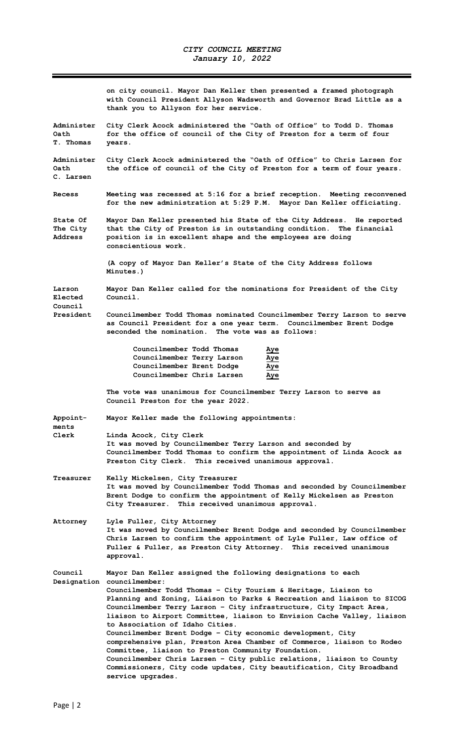Ξ

|                                        | on city council. Mayor Dan Keller then presented a framed photograph<br>with Council President Allyson Wadsworth and Governor Brad Little as a<br>thank you to Allyson for her service.                                                                           |  |  |
|----------------------------------------|-------------------------------------------------------------------------------------------------------------------------------------------------------------------------------------------------------------------------------------------------------------------|--|--|
| Administer<br>Oath<br>T. Thomas        | City Clerk Acock administered the "Oath of Office" to Todd D. Thomas<br>for the office of council of the City of Preston for a term of four<br>years.                                                                                                             |  |  |
| Administer<br>Oath<br>C. Larsen        | City Clerk Acock administered the "Oath of Office" to Chris Larsen for<br>the office of council of the City of Preston for a term of four years.                                                                                                                  |  |  |
| Recess                                 | Meeting was recessed at 5:16 for a brief reception. Meeting reconvened<br>for the new administration at 5:29 P.M. Mayor Dan Keller officiating.                                                                                                                   |  |  |
| State Of<br>The City<br><b>Address</b> | Mayor Dan Keller presented his State of the City Address. He reported<br>that the City of Preston is in outstanding condition. The financial<br>position is in excellent shape and the employees are doing<br>conscientious work.                                 |  |  |
|                                        | (A copy of Mayor Dan Keller's State of the City Address follows<br>Minutes.)                                                                                                                                                                                      |  |  |
| Larson<br>Elected                      | Mayor Dan Keller called for the nominations for President of the City<br>Council.                                                                                                                                                                                 |  |  |
| Council<br>President                   | Councilmember Todd Thomas nominated Councilmember Terry Larson to serve<br>as Council President for a one year term. Councilmember Brent Dodge<br>seconded the nomination. The vote was as follows:                                                               |  |  |
|                                        | Councilmember Todd Thomas<br>Aye<br>Councilmember Terry Larson<br>Aye<br>Councilmember Brent Dodge<br>Aye<br>Councilmember Chris Larsen<br>Aye                                                                                                                    |  |  |
|                                        | The vote was unanimous for Councilmember Terry Larson to serve as<br>Council Preston for the year 2022.                                                                                                                                                           |  |  |
| Appoint-<br>ments                      | Mayor Keller made the following appointments:                                                                                                                                                                                                                     |  |  |
| Clerk                                  | Linda Acock, City Clerk<br>It was moved by Councilmember Terry Larson and seconded by<br>Councilmember Todd Thomas to confirm the appointment of Linda Acock as<br>Preston City Clerk. This received unanimous approval.                                          |  |  |
| Treasurer                              | Kelly Mickelsen, City Treasurer<br>It was moved by Councilmember Todd Thomas and seconded by Councilmember<br>Brent Dodge to confirm the appointment of Kelly Mickelsen as Preston<br>City Treasurer. This received unanimous approval.                           |  |  |
|                                        |                                                                                                                                                                                                                                                                   |  |  |
| Attorney                               | Lyle Fuller, City Attorney<br>It was moved by Councilmember Brent Dodge and seconded by Councilmember<br>Chris Larsen to confirm the appointment of Lyle Fuller, Law office of<br>Fuller & Fuller, as Preston City Attorney. This received unanimous<br>approval. |  |  |
| Council                                | Mayor Dan Keller assigned the following designations to each<br>Designation councilmember:                                                                                                                                                                        |  |  |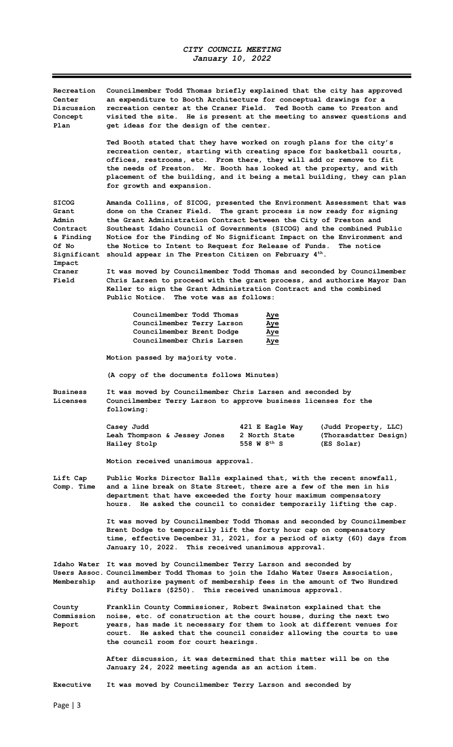$\overline{\phantom{a}}$ 

| Recreation<br>Center<br>Discussion<br>Concept<br>Plan                                                        | Councilmember Todd Thomas briefly explained that the city has approved<br>an expenditure to Booth Architecture for conceptual drawings for a<br>recreation center at the Craner Field. Ted Booth came to Preston and<br>visited the site. He is present at the meeting to answer questions and<br>get ideas for the design of the center.                                                                                                                                                                   |  |  |
|--------------------------------------------------------------------------------------------------------------|-------------------------------------------------------------------------------------------------------------------------------------------------------------------------------------------------------------------------------------------------------------------------------------------------------------------------------------------------------------------------------------------------------------------------------------------------------------------------------------------------------------|--|--|
|                                                                                                              | Ted Booth stated that they have worked on rough plans for the city's<br>recreation center, starting with creating space for basketball courts,<br>offices, restrooms, etc. From there, they will add or remove to fit<br>the needs of Preston. Mr. Booth has looked at the property, and with<br>placement of the building, and it being a metal building, they can plan<br>for growth and expansion.                                                                                                       |  |  |
| <b>SICOG</b><br>Grant<br>Admin<br>Contract<br>& Finding<br>Of No<br>Significant<br>Impact<br>Craner<br>Field | Amanda Collins, of SICOG, presented the Environment Assessment that was<br>done on the Craner Field. The grant process is now ready for signing<br>the Grant Administration Contract between the City of Preston and<br>Southeast Idaho Council of Governments (SICOG) and the combined Public<br>Notice for the Finding of No Significant Impact on the Environment and<br>the Notice to Intent to Request for Release of Funds.<br>The notice<br>should appear in The Preston Citizen on February $4th$ . |  |  |
|                                                                                                              | It was moved by Councilmember Todd Thomas and seconded by Councilmember<br>Chris Larsen to proceed with the grant process, and authorize Mayor Dan<br>Keller to sign the Grant Administration Contract and the combined<br>Public Notice. The vote was as follows:                                                                                                                                                                                                                                          |  |  |
|                                                                                                              | Councilmember Todd Thomas<br>Aye<br>Councilmember Terry Larson<br>Aye<br>Councilmember Brent Dodge<br>Aye<br>Councilmember Chris Larsen<br><u>Aye</u>                                                                                                                                                                                                                                                                                                                                                       |  |  |
|                                                                                                              | Motion passed by majority vote.                                                                                                                                                                                                                                                                                                                                                                                                                                                                             |  |  |
|                                                                                                              | (A copy of the documents follows Minutes)                                                                                                                                                                                                                                                                                                                                                                                                                                                                   |  |  |
| <b>Business</b><br>Licenses                                                                                  | It was moved by Councilmember Chris Larsen and seconded by<br>Councilmember Terry Larson to approve business licenses for the<br>following:                                                                                                                                                                                                                                                                                                                                                                 |  |  |
|                                                                                                              | Casey Judd<br>421 E Eagle Way<br>(Judd Property, LLC)<br>Leah Thompson & Jessey Jones<br>2 North State<br>(Thorasdatter Design)<br>558 W 8 <sup>th</sup> S<br>Hailey Stolp<br>(ES Solar)                                                                                                                                                                                                                                                                                                                    |  |  |
|                                                                                                              | Motion received unanimous approval.                                                                                                                                                                                                                                                                                                                                                                                                                                                                         |  |  |
| Lift Cap<br>Comp. Time                                                                                       | Public Works Director Balls explained that, with the recent snowfall,<br>and a line break on State Street, there are a few of the men in his<br>department that have exceeded the forty hour maximum compensatory<br>He asked the council to consider temporarily lifting the cap.<br>hours.                                                                                                                                                                                                                |  |  |
|                                                                                                              | It was moved by Councilmember Todd Thomas and seconded by Councilmember<br>Brent Dodge to temporarily lift the forty hour cap on compensatory<br>time, effective December 31, 2021, for a period of sixty (60) days from<br>January 10, 2022. This received unanimous approval.                                                                                                                                                                                                                             |  |  |
|                                                                                                              | Idaho Water It was moved by Councilmember Terry Larson and seconded by<br>Users Assoc. Councilmember Todd Thomas to join the Idaho Water Users Association,<br>Membership and authorize payment of membership fees in the amount of Two Hundred<br>Fifty Dollars (\$250). This received unanimous approval.                                                                                                                                                                                                 |  |  |
| County<br>Commission<br>Report                                                                               | Franklin County Commissioner, Robert Swainston explained that the<br>noise, etc. of construction at the court house, during the next two<br>years, has made it necessary for them to look at different venues for<br>court. He asked that the council consider allowing the courts to use<br>the council room for court hearings.                                                                                                                                                                           |  |  |
|                                                                                                              | After discussion, it was determined that this matter will be on the<br>January 24, 2022 meeting agenda as an action item.                                                                                                                                                                                                                                                                                                                                                                                   |  |  |
| <b>Executive</b>                                                                                             | It was moved by Councilmember Terry Larson and seconded by                                                                                                                                                                                                                                                                                                                                                                                                                                                  |  |  |